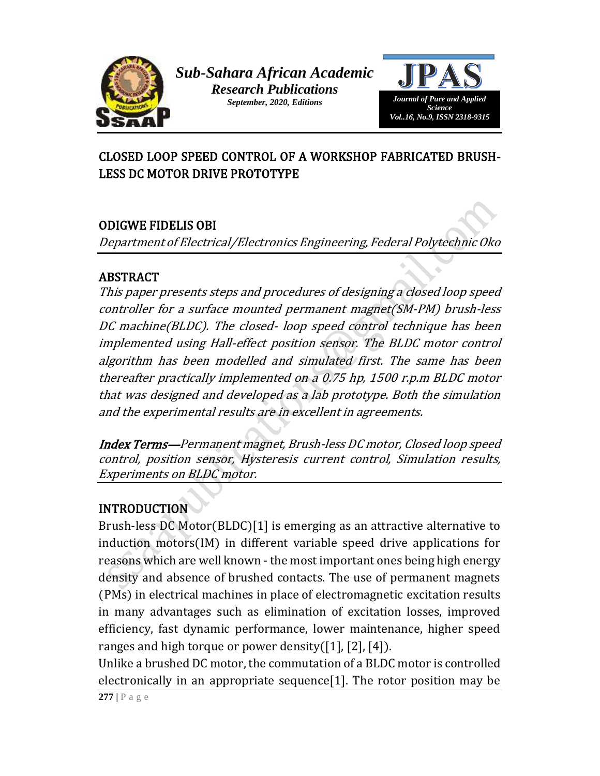



# CLOSED LOOP SPEED CONTROL OF A WORKSHOP FABRICATED BRUSH-LESS DC MOTOR DRIVE PROTOTYPE

# ODIGWE FIDELIS OBI

Department of Electrical/Electronics Engineering, Federal Polytechnic Oko

### ABSTRACT

This paper presents steps and procedures of designing a closed loop speed controller for a surface mounted permanent magnet(SM-PM) brush-less DC machine(BLDC). The closed- loop speed control technique has been implemented using Hall-effect position sensor. The BLDC motor control algorithm has been modelled and simulated first. The same has been thereafter practically implemented on a 0.75 hp, 1500 r.p.m BLDC motor that was designed and developed as a lab prototype. Both the simulation and the experimental results are in excellent in agreements.

Index Terms—Permanent magnet, Brush-less DC motor, Closed loop speed control, position sensor, Hysteresis current control, Simulation results, Experiments on BLDC motor.

# INTRODUCTION

Brush-less DC Motor(BLDC)[1] is emerging as an attractive alternative to induction motors(IM) in different variable speed drive applications for reasons which are well known - the most important ones being high energy density and absence of brushed contacts. The use of permanent magnets (PMs) in electrical machines in place of electromagnetic excitation results in many advantages such as elimination of excitation losses, improved efficiency, fast dynamic performance, lower maintenance, higher speed ranges and high torque or power density( $[1]$ ,  $[2]$ ,  $[4]$ ).

Unlike a brushed DC motor, the commutation of a BLDC motor is controlled electronically in an appropriate sequence[1]. The rotor position may be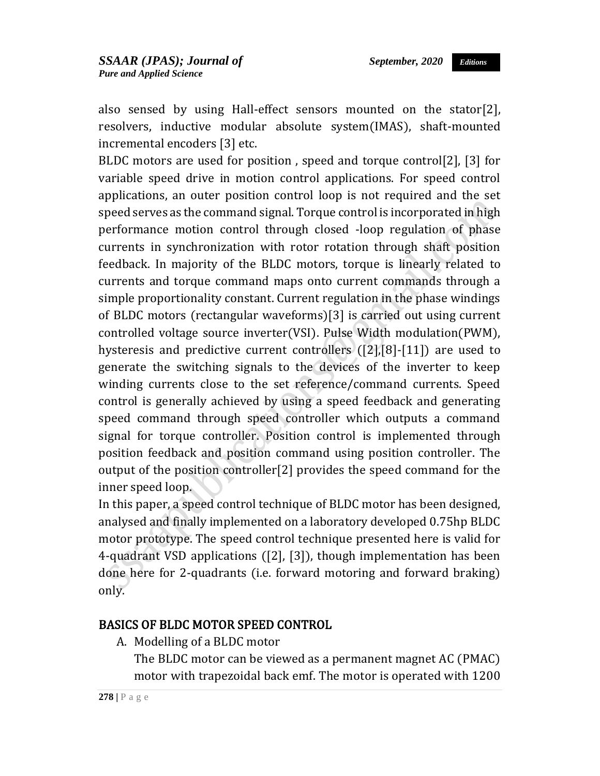also sensed by using Hall-effect sensors mounted on the stator[2], resolvers, inductive modular absolute system(IMAS), shaft-mounted incremental encoders [3] etc.

BLDC motors are used for position , speed and torque control[2], [3] for variable speed drive in motion control applications. For speed control applications, an outer position control loop is not required and the set speed serves as the command signal. Torque control is incorporated in high performance motion control through closed -loop regulation of phase currents in synchronization with rotor rotation through shaft position feedback. In majority of the BLDC motors, torque is linearly related to currents and torque command maps onto current commands through a simple proportionality constant. Current regulation in the phase windings of BLDC motors (rectangular waveforms)[3] is carried out using current controlled voltage source inverter(VSI). Pulse Width modulation(PWM), hysteresis and predictive current controllers ([2],[8]-[11]) are used to generate the switching signals to the devices of the inverter to keep winding currents close to the set reference/command currents. Speed control is generally achieved by using a speed feedback and generating speed command through speed controller which outputs a command signal for torque controller. Position control is implemented through position feedback and position command using position controller. The output of the position controller[2] provides the speed command for the inner speed loop.

In this paper, a speed control technique of BLDC motor has been designed, analysed and finally implemented on a laboratory developed 0.75hp BLDC motor prototype. The speed control technique presented here is valid for 4-quadrant VSD applications ([2], [3]), though implementation has been done here for 2-quadrants (i.e. forward motoring and forward braking) only.

#### BASICS OF BLDC MOTOR SPEED CONTROL

A. Modelling of a BLDC motor

The BLDC motor can be viewed as a permanent magnet AC (PMAC) motor with trapezoidal back emf. The motor is operated with 1200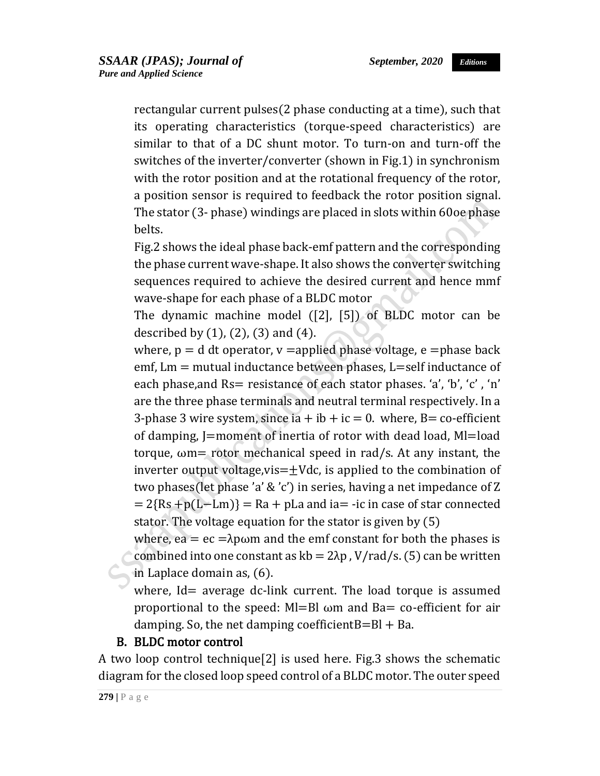rectangular current pulses(2 phase conducting at a time), such that its operating characteristics (torque-speed characteristics) are similar to that of a DC shunt motor. To turn-on and turn-off the switches of the inverter/converter (shown in Fig.1) in synchronism with the rotor position and at the rotational frequency of the rotor, a position sensor is required to feedback the rotor position signal. The stator (3- phase) windings are placed in slots within 60oe phase belts.

Fig.2 shows the ideal phase back-emf pattern and the corresponding the phase current wave-shape. It also shows the converter switching sequences required to achieve the desired current and hence mmf wave-shape for each phase of a BLDC motor

The dynamic machine model ([2], [5]) of BLDC motor can be described by  $(1)$ ,  $(2)$ ,  $(3)$  and  $(4)$ .

where,  $p = d$  dt operator,  $v =$ applied phase voltage, e  $=$ phase back emf,  $Lm$  = mutual inductance between phases,  $L$ =self inductance of each phase, and Rs = resistance of each stator phases. 'a', 'b', 'c', 'n' are the three phase terminals and neutral terminal respectively. In a 3-phase 3 wire system, since ia  $+$  ib  $+$  ic = 0. where, B= co-efficient of damping, J=moment of inertia of rotor with dead load, Ml=load torque,  $\omega$ m= rotor mechanical speed in rad/s. At any instant, the inverter output voltage, vis  $=\pm$  Vdc, is applied to the combination of two phases(let phase 'a' & 'c') in series, having a net impedance of Z  $= 2{Rs +p(L-Lm)} = Ra + pLa$  and ia= -ic in case of star connected stator. The voltage equation for the stator is given by (5)

where, ea =  $ec = \lambda p \omega m$  and the emf constant for both the phases is combined into one constant as  $kb = 2\lambda p$ , V/rad/s. (5) can be written in Laplace domain as, (6).

where, Id= average dc-link current. The load torque is assumed proportional to the speed:  $Ml=Bl$   $\omega m$  and Ba= co-efficient for air damping. So, the net damping coefficient $B=BI + Ba$ .

#### B. BLDC motor control

A two loop control technique[2] is used here. Fig.3 shows the schematic diagram for the closed loop speed control of a BLDC motor. The outer speed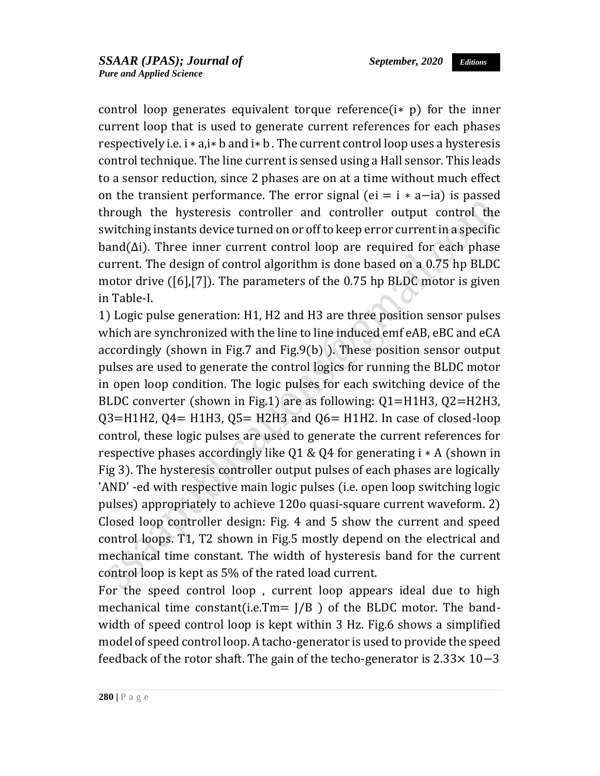*Editions*

control loop generates equivalent torque reference $(i * p)$  for the inner current loop that is used to generate current references for each phases respectively i.e. i ∗ a,i∗ b and i∗ b . The current control loop uses a hysteresis control technique. The line current is sensed using a Hall sensor. This leads to a sensor reduction, since 2 phases are on at a time without much effect on the transient performance. The error signal (ei =  $i * a$ -ia) is passed through the hysteresis controller and controller output control the switching instants device turned on or off to keep error current in a specific  $band(\Delta i)$ . Three inner current control loop are required for each phase current. The design of control algorithm is done based on a 0.75 hp BLDC motor drive ([6],[7]). The parameters of the 0.75 hp BLDC motor is given in Table-I.

1) Logic pulse generation: H1, H2 and H3 are three position sensor pulses which are synchronized with the line to line induced emf eAB, eBC and eCA accordingly (shown in Fig.7 and Fig.9(b) ). These position sensor output pulses are used to generate the control logics for running the BLDC motor in open loop condition. The logic pulses for each switching device of the BLDC converter (shown in Fig.1) are as following: Q1=H1H3, Q2=H2H3,  $Q3 = H1H2$ ,  $Q4 = H1H3$ ,  $Q5 = H2H3$  and  $Q6 = H1H2$ . In case of closed-loop control, these logic pulses are used to generate the current references for respective phases accordingly like Q1 & Q4 for generating i ∗ A (shown in Fig 3). The hysteresis controller output pulses of each phases are logically 'AND' -ed with respective main logic pulses (i.e. open loop switching logic pulses) appropriately to achieve 120o quasi-square current waveform. 2) Closed loop controller design: Fig. 4 and 5 show the current and speed control loops. T1, T2 shown in Fig.5 mostly depend on the electrical and mechanical time constant. The width of hysteresis band for the current control loop is kept as 5% of the rated load current.

For the speed control loop , current loop appears ideal due to high mechanical time constant(i.e.Tm=  $J/B$  ) of the BLDC motor. The bandwidth of speed control loop is kept within 3 Hz. Fig.6 shows a simplified model of speed control loop. A tacho-generator is used to provide the speed feedback of the rotor shaft. The gain of the techo-generator is 2.33× 10−3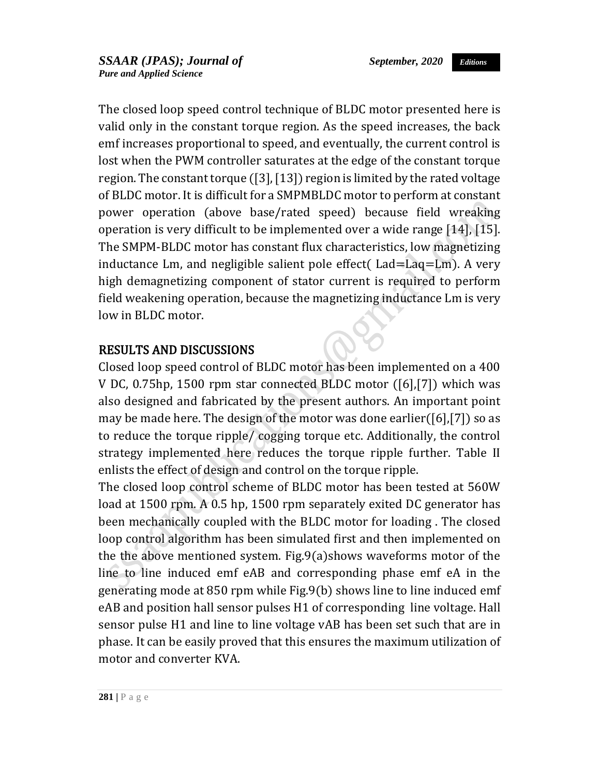The closed loop speed control technique of BLDC motor presented here is valid only in the constant torque region. As the speed increases, the back emf increases proportional to speed, and eventually, the current control is lost when the PWM controller saturates at the edge of the constant torque region. The constant torque ([3], [13]) region is limited by the rated voltage of BLDC motor. It is difficult for a SMPMBLDC motor to perform at constant power operation (above base/rated speed) because field wreaking operation is very difficult to be implemented over a wide range [14], [15]. The SMPM-BLDC motor has constant flux characteristics, low magnetizing inductance Lm, and negligible salient pole effect( Lad=Laq=Lm). A very high demagnetizing component of stator current is required to perform field weakening operation, because the magnetizing inductance Lm is very low in BLDC motor.

### RESULTS AND DISCUSSIONS

Closed loop speed control of BLDC motor has been implemented on a 400 V DC, 0.75hp, 1500 rpm star connected BLDC motor ([6],[7]) which was also designed and fabricated by the present authors. An important point may be made here. The design of the motor was done earlier([6],[7]) so as to reduce the torque ripple/ cogging torque etc. Additionally, the control strategy implemented here reduces the torque ripple further. Table II enlists the effect of design and control on the torque ripple.

The closed loop control scheme of BLDC motor has been tested at 560W load at 1500 rpm. A 0.5 hp, 1500 rpm separately exited DC generator has been mechanically coupled with the BLDC motor for loading . The closed loop control algorithm has been simulated first and then implemented on the the above mentioned system. Fig.9(a)shows waveforms motor of the line to line induced emf eAB and corresponding phase emf eA in the generating mode at 850 rpm while Fig.9(b) shows line to line induced emf eAB and position hall sensor pulses H1 of corresponding line voltage. Hall sensor pulse H1 and line to line voltage vAB has been set such that are in phase. It can be easily proved that this ensures the maximum utilization of motor and converter KVA.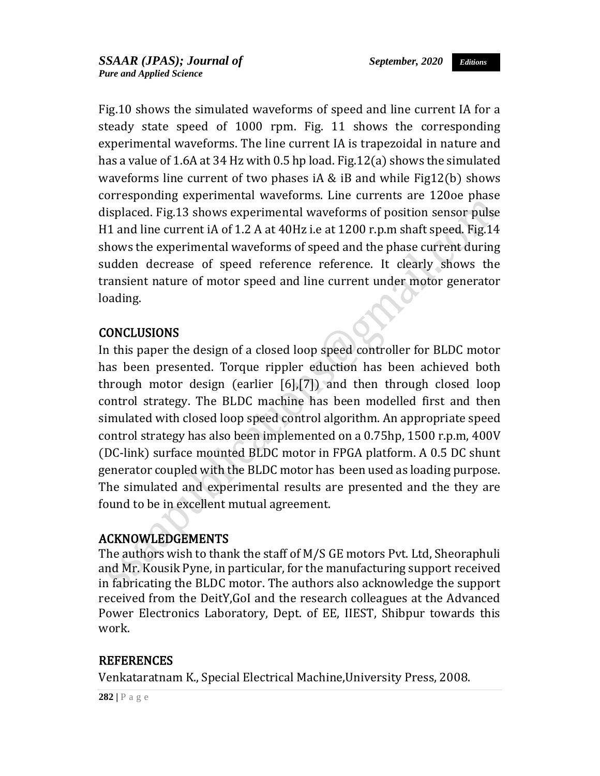Fig.10 shows the simulated waveforms of speed and line current IA for a steady state speed of 1000 rpm. Fig. 11 shows the corresponding experimental waveforms. The line current IA is trapezoidal in nature and has a value of 1.6A at 34 Hz with 0.5 hp load. Fig.12(a) shows the simulated waveforms line current of two phases iA & iB and while Fig12(b) shows corresponding experimental waveforms. Line currents are 120oe phase displaced. Fig.13 shows experimental waveforms of position sensor pulse H1 and line current iA of 1.2 A at 40Hz i.e at 1200 r.p.m shaft speed. Fig.14 shows the experimental waveforms of speed and the phase current during sudden decrease of speed reference reference. It clearly shows the transient nature of motor speed and line current under motor generator loading.

### CONCLUSIONS

In this paper the design of a closed loop speed controller for BLDC motor has been presented. Torque rippler eduction has been achieved both through motor design (earlier [6],[7]) and then through closed loop control strategy. The BLDC machine has been modelled first and then simulated with closed loop speed control algorithm. An appropriate speed control strategy has also been implemented on a 0.75hp, 1500 r.p.m, 400V (DC-link) surface mounted BLDC motor in FPGA platform. A 0.5 DC shunt generator coupled with the BLDC motor has been used as loading purpose. The simulated and experimental results are presented and the they are found to be in excellent mutual agreement.

#### ACKNOWLEDGEMENTS

The authors wish to thank the staff of M/S GE motors Pvt. Ltd, Sheoraphuli and Mr. Kousik Pyne, in particular, for the manufacturing support received in fabricating the BLDC motor. The authors also acknowledge the support received from the DeitY,GoI and the research colleagues at the Advanced Power Electronics Laboratory, Dept. of EE, IIEST, Shibpur towards this work.

#### REFERENCES

Venkataratnam K., Special Electrical Machine,University Press, 2008.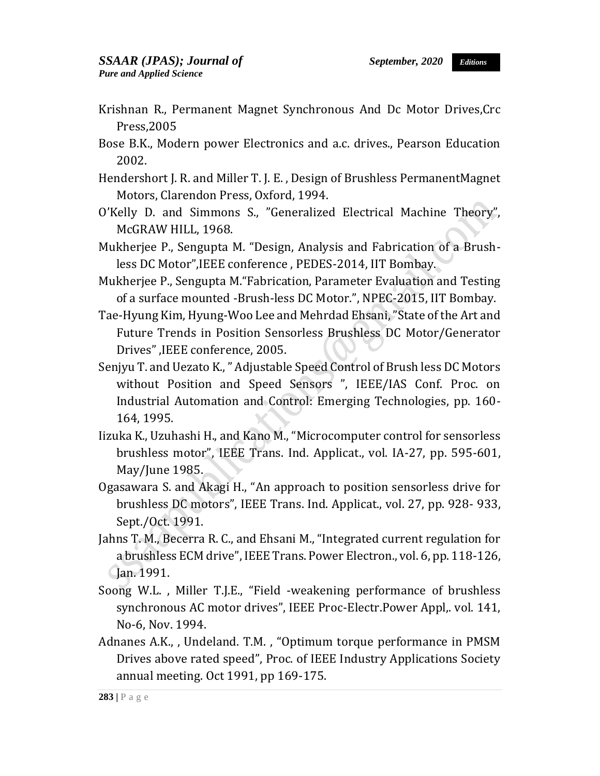- Krishnan R., Permanent Magnet Synchronous And Dc Motor Drives,Crc Press,2005
- Bose B.K., Modern power Electronics and a.c. drives., Pearson Education 2002.
- Hendershort J. R. and Miller T. J. E. , Design of Brushless PermanentMagnet Motors, Clarendon Press, Oxford, 1994.
- O'Kelly D. and Simmons S., "Generalized Electrical Machine Theory", McGRAW HILL, 1968.
- Mukherjee P., Sengupta M. "Design, Analysis and Fabrication of a Brushless DC Motor",IEEE conference , PEDES-2014, IIT Bombay.
- Mukherjee P., Sengupta M."Fabrication, Parameter Evaluation and Testing of a surface mounted -Brush-less DC Motor.", NPEC-2015, IIT Bombay.
- Tae-Hyung Kim, Hyung-Woo Lee and Mehrdad Ehsani, "State of the Art and Future Trends in Position Sensorless Brushless DC Motor/Generator Drives" ,IEEE conference, 2005.
- Senjyu T. and Uezato K., " Adjustable Speed Control of Brush less DC Motors without Position and Speed Sensors ", IEEE/IAS Conf. Proc. on Industrial Automation and Control: Emerging Technologies, pp. 160- 164, 1995.
- Iizuka K., Uzuhashi H., and Kano M., "Microcomputer control for sensorless brushless motor", IEEE Trans. Ind. Applicat., vol. IA-27, pp. 595-601, May/June 1985.
- Ogasawara S. and Akagi H., "An approach to position sensorless drive for brushless DC motors", IEEE Trans. Ind. Applicat., vol. 27, pp. 928- 933, Sept./Oct. 1991.
- Jahns T. M., Becerra R. C., and Ehsani M., "Integrated current regulation for a brushless ECM drive", IEEE Trans. Power Electron., vol. 6, pp. 118-126, Jan. 1991.
- Soong W.L. , Miller T.J.E., "Field -weakening performance of brushless synchronous AC motor drives", IEEE Proc-Electr.Power Appl,. vol. 141, No-6, Nov. 1994.
- Adnanes A.K., , Undeland. T.M. , "Optimum torque performance in PMSM Drives above rated speed", Proc. of IEEE Industry Applications Society annual meeting. Oct 1991, pp 169-175.